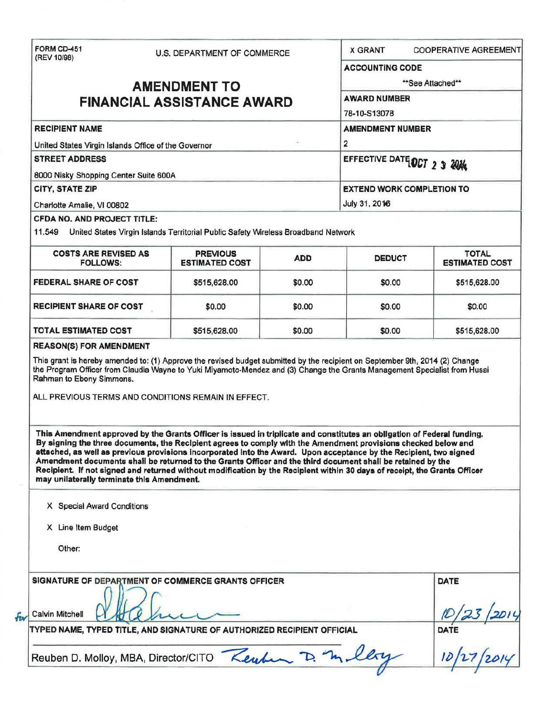| (REV 10/98)                                                      |                     | U.S. DEPARTMENT OF COMMERCE                                                                                                                                                                                                                                                                                                                                                                                                                                                                                                                                                                                 |                  | <b>X GRANT</b>                   |                        | <b>COOPERATIVE AGREEMENT</b>          |
|------------------------------------------------------------------|---------------------|-------------------------------------------------------------------------------------------------------------------------------------------------------------------------------------------------------------------------------------------------------------------------------------------------------------------------------------------------------------------------------------------------------------------------------------------------------------------------------------------------------------------------------------------------------------------------------------------------------------|------------------|----------------------------------|------------------------|---------------------------------------|
|                                                                  |                     |                                                                                                                                                                                                                                                                                                                                                                                                                                                                                                                                                                                                             |                  |                                  | <b>ACCOUNTING CODE</b> |                                       |
|                                                                  | <b>AMENDMENT TO</b> |                                                                                                                                                                                                                                                                                                                                                                                                                                                                                                                                                                                                             | **See Attached** |                                  |                        |                                       |
| <b>FINANCIAL ASSISTANCE AWARD</b>                                |                     |                                                                                                                                                                                                                                                                                                                                                                                                                                                                                                                                                                                                             |                  | <b>AWARD NUMBER</b>              |                        |                                       |
|                                                                  |                     |                                                                                                                                                                                                                                                                                                                                                                                                                                                                                                                                                                                                             |                  | 78-10-S13078                     |                        |                                       |
| <b>RECIPIENT NAME</b>                                            |                     |                                                                                                                                                                                                                                                                                                                                                                                                                                                                                                                                                                                                             |                  | <b>AMENDMENT NUMBER</b>          |                        |                                       |
| United States Virgin Islands Office of the Governor              |                     |                                                                                                                                                                                                                                                                                                                                                                                                                                                                                                                                                                                                             |                  | 2                                |                        |                                       |
| <b>STREET ADDRESS</b>                                            |                     |                                                                                                                                                                                                                                                                                                                                                                                                                                                                                                                                                                                                             |                  | EFFECTIVE DATE OCT 2 3 2014      |                        |                                       |
| 8000 Nisky Shopping Center Suite 600A                            |                     |                                                                                                                                                                                                                                                                                                                                                                                                                                                                                                                                                                                                             |                  |                                  |                        |                                       |
| <b>CITY, STATE ZIP</b>                                           |                     |                                                                                                                                                                                                                                                                                                                                                                                                                                                                                                                                                                                                             |                  | <b>EXTEND WORK COMPLETION TO</b> |                        |                                       |
| Charlotte Amalie, VI 00802                                       |                     |                                                                                                                                                                                                                                                                                                                                                                                                                                                                                                                                                                                                             |                  | July 31, 2016                    |                        |                                       |
| <b>CFDA NO. AND PROJECT TITLE:</b><br>11.549                     |                     | United States Virgin Islands Territorial Public Safety Wireless Broadband Network                                                                                                                                                                                                                                                                                                                                                                                                                                                                                                                           |                  |                                  |                        |                                       |
| <b>COSTS ARE REVISED AS</b><br><b>FOLLOWS:</b>                   |                     | <b>PREVIOUS</b><br><b>ESTIMATED COST</b>                                                                                                                                                                                                                                                                                                                                                                                                                                                                                                                                                                    | <b>ADD</b>       | <b>DEDUCT</b>                    |                        | <b>TOTAL</b><br><b>ESTIMATED COST</b> |
| FEDERAL SHARE OF COST                                            |                     | \$515,628.00                                                                                                                                                                                                                                                                                                                                                                                                                                                                                                                                                                                                | \$0.00           | \$0.00                           |                        | \$515,628.00                          |
| <b>RECIPIENT SHARE OF COST</b>                                   |                     | \$0.00                                                                                                                                                                                                                                                                                                                                                                                                                                                                                                                                                                                                      | \$0.00           | \$0.00                           |                        | \$0.00                                |
| <b>TOTAL ESTIMATED COST</b>                                      |                     | \$515,628.00                                                                                                                                                                                                                                                                                                                                                                                                                                                                                                                                                                                                | \$0.00           | \$0.00                           |                        | \$515,628.00                          |
| <b>REASON(S) FOR AMENDMENT</b><br>Rahman to Ebony Simmons.       |                     | This grant is hereby amended to: (1) Approve the revised budget submitted by the recipient on September 9th, 2014 (2) Change<br>the Program Officer from Claudia Wayne to Yuki Miyamoto-Mendez and (3) Change the Grants Management Specialist from Husai<br>ALL PREVIOUS TERMS AND CONDITIONS REMAIN IN EFFECT.                                                                                                                                                                                                                                                                                            |                  |                                  |                        |                                       |
|                                                                  |                     | This Amendment approved by the Grants Officer is issued in triplicate and constitutes an obligation of Federal funding.<br>By signing the three documents, the Recipient agrees to comply with the Amendment provisions checked below and<br>attached, as well as previous provisions incorporated Into the Award. Upon acceptance by the Recipient, two signed<br>Amendment documents shall be returned to the Grants Officer and the third document shall be retained by the<br>Recipient. If not signed and returned without modification by the Recipient within 30 days of receipt, the Grants Officer |                  |                                  |                        |                                       |
| X Special Award Conditions                                       |                     |                                                                                                                                                                                                                                                                                                                                                                                                                                                                                                                                                                                                             |                  |                                  |                        |                                       |
| may unilaterally terminate this Amendment.<br>X Line Item Budget |                     |                                                                                                                                                                                                                                                                                                                                                                                                                                                                                                                                                                                                             |                  |                                  |                        |                                       |
| Other:                                                           |                     |                                                                                                                                                                                                                                                                                                                                                                                                                                                                                                                                                                                                             |                  |                                  |                        |                                       |
|                                                                  |                     | SIGNATURE OF DEPARTMENT OF COMMERCE GRANTS OFFICER                                                                                                                                                                                                                                                                                                                                                                                                                                                                                                                                                          |                  |                                  |                        | <b>DATE</b>                           |
| <b>Calvin Mitchell</b>                                           |                     | TYPED NAME, TYPED TITLE, AND SIGNATURE OF AUTHORIZED RECIPIENT OFFICIAL                                                                                                                                                                                                                                                                                                                                                                                                                                                                                                                                     |                  |                                  |                        | DATE                                  |